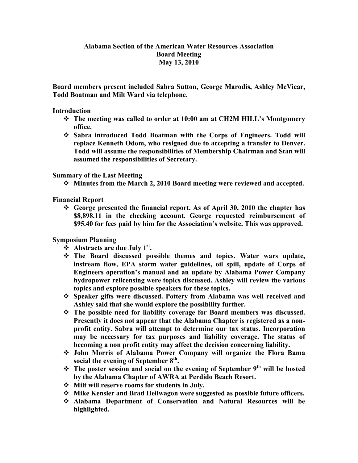## **Alabama Section of the American Water Resources Association Board Meeting May 13, 2010**

**Board members present included Sabra Sutton, George Marodis, Ashley McVicar, Todd Boatman and Milt Ward via telephone.**

## **Introduction**

- **The meeting was called to order at 10:00 am at CH2M HILL's Montgomery office.**
- **Sabra introduced Todd Boatman with the Corps of Engineers. Todd will replace Kenneth Odom, who resigned due to accepting a transfer to Denver. Todd will assume the responsibilities of Membership Chairman and Stan will assumed the responsibilities of Secretary.**

## **Summary of the Last Meeting**

**Minutes from the March 2, 2010 Board meeting were reviewed and accepted.**

**Financial Report**

 **George presented the financial report. As of April 30, 2010 the chapter has \$8,898.11 in the checking account. George requested reimbursement of \$95.40 for fees paid by him for the Association's website. This was approved.**

**Symposium Planning**

- **❖** Abstracts are due July 1<sup>st</sup>.
- **The Board discussed possible themes and topics. Water wars update, instream flow, EPA storm water guidelines, oil spill, update of Corps of Engineers operation's manual and an update by Alabama Power Company hydropower relicensing were topics discussed. Ashley will review the various topics and explore possible speakers for these topics.**
- **Speaker gifts were discussed. Pottery from Alabama was well received and Ashley said that she would explore the possibility further.**
- **The possible need for liability coverage for Board members was discussed. Presently it does not appear that the Alabama Chapter is registered as a nonprofit entity. Sabra will attempt to determine our tax status. Incorporation may be necessary for tax purposes and liability coverage. The status of becoming a non profit entity may affect the decision concerning liability.**
- **John Morris of Alabama Power Company will organize the Flora Bama social the evening of September 8th.**
- **The poster session and social on the evening of September 9th will be hosted by the Alabama Chapter of AWRA at Perdido Beach Resort.**
- **Milt will reserve rooms for students in July.**
- **Mike Kensler and Brad Heilwagon were suggested as possible future officers.**
- **Alabama Department of Conservation and Natural Resources will be highlighted.**